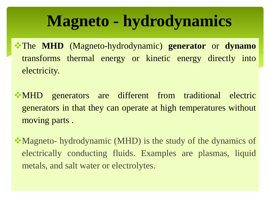- The **MHD** (Magneto-hydrodynamic) **generator** or **dynamo** transforms thermal energy or kinetic energy directly into electricity.
- MHD generators are different from traditional electric generators in that they can operate at high temperatures without moving parts .
- Magneto- hydrodynamic (MHD) is the study of the dynamics of electrically conducting fluids. Examples are plasmas, liquid metals, and salt water or electrolytes.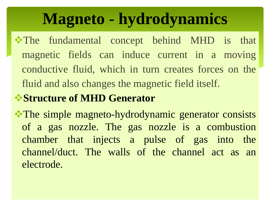The fundamental concept behind MHD is that magnetic fields can induce current in a moving conductive fluid, which in turn creates forces on the fluid and also changes the magnetic field itself.

#### **Structure of MHD Generator**

The simple magneto-hydrodynamic generator consists of a gas nozzle. The gas nozzle is a combustion chamber that injects a pulse of gas into the channel/duct. The walls of the channel act as an electrode.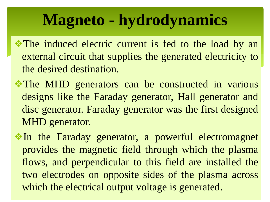- The induced electric current is fed to the load by an external circuit that supplies the generated electricity to the desired destination.
- The MHD generators can be constructed in various designs like the Faraday generator, Hall generator and disc generator. Faraday generator was the first designed MHD generator.
- In the Faraday generator, a powerful electromagnet provides the magnetic field through which the plasma flows, and perpendicular to this field are installed the two electrodes on opposite sides of the plasma across which the electrical output voltage is generated.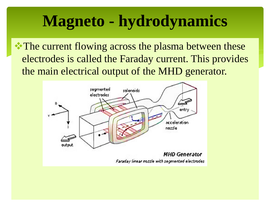The current flowing across the plasma between these electrodes is called the Faraday current. This provides the main electrical output of the MHD generator.

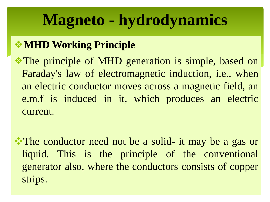#### **MHD Working Principle**

The principle of MHD generation is simple, based on Faraday's law of electromagnetic induction, i.e., when an electric conductor moves across a magnetic field, an e.m.f is induced in it, which produces an electric current.

The conductor need not be a solid- it may be a gas or liquid. This is the principle of the conventional generator also, where the conductors consists of copper strips.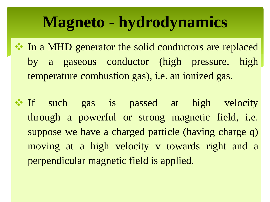In a MHD generator the solid conductors are replaced by a gaseous conductor (high pressure, high temperature combustion gas), i.e. an ionized gas.

If such gas is passed at high velocity through a powerful or strong magnetic field, i.e. suppose we have a charged particle (having charge q) moving at a high velocity v towards right and a perpendicular magnetic field is applied.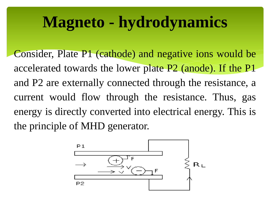Consider, Plate P1 (cathode) and negative ions would be accelerated towards the lower plate P2 (anode). If the P1 and P2 are externally connected through the resistance, a current would flow through the resistance. Thus, gas energy is directly converted into electrical energy. This is the principle of MHD generator.

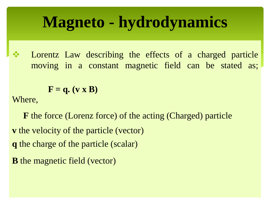Lorentz Law describing the effects of a charged particle moving in a constant magnetic field can be stated as;

**.**  $(\mathbf{v} \times \mathbf{B})$ 

Where,

 **F** the force (Lorenz force) of the acting (Charged) particle **v** the velocity of the particle (vector) **q** the charge of the particle (scalar) **B** the magnetic field (vector)